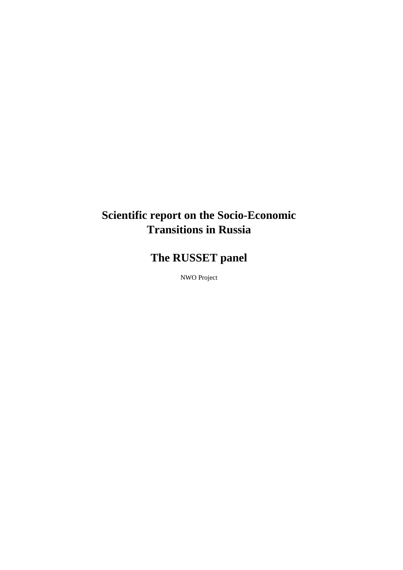# **Scientific report on the Socio-Economic Transitions in Russia**

**The RUSSET panel** 

NWO Project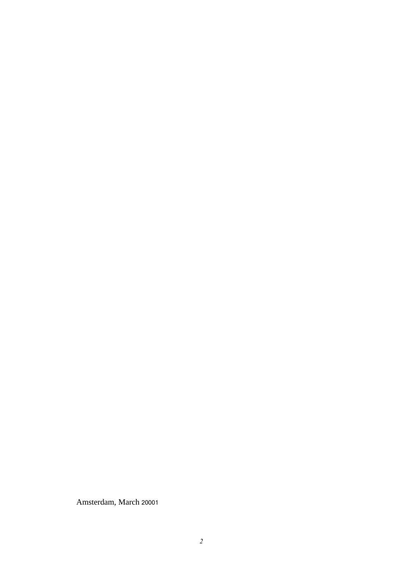Amsterdam, March 20001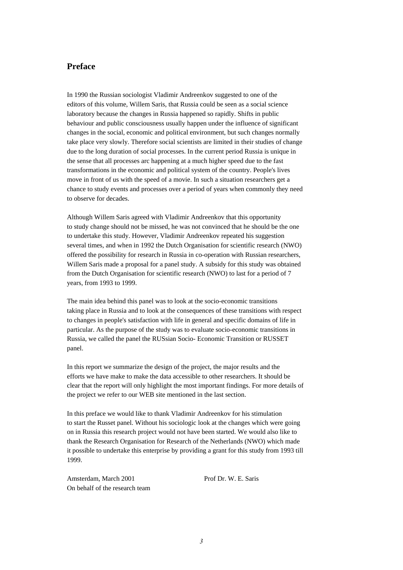# **Preface**

In 1990 the Russian sociologist Vladimir Andreenkov suggested to one of the editors of this volume, Willem Saris, that Russia could be seen as a social science laboratory because the changes in Russia happened so rapidly. Shifts in public behaviour and public consciousness usually happen under the influence of significant changes in the social, economic and political environment, but such changes normally take place very slowly. Therefore social scientists are limited in their studies of change due to the long duration of social processes. In the current period Russia is unique in the sense that all processes arc happening at a much higher speed due to the fast transformations in the economic and political system of the country. People's lives move in front of us with the speed of a movie. In such a situation researchers get a chance to study events and processes over a period of years when commonly they need to observe for decades.

Although Willem Saris agreed with Vladimir Andreenkov that this opportunity to study change should not be missed, he was not convinced that he should be the one to undertake this study. However, Vladimir Andreenkov repeated his suggestion several times, and when in 1992 the Dutch Organisation for scientific research (NWO) offered the possibility for research in Russia in co-operation with Russian researchers, Willem Saris made a proposal for a panel study. A subsidy for this study was obtained from the Dutch Organisation for scientific research (NWO) to last for a period of 7 years, from 1993 to 1999.

The main idea behind this panel was to look at the socio-economic transitions taking place in Russia and to look at the consequences of these transitions with respect to changes in people's satisfaction with life in general and specific domains of life in particular. As the purpose of the study was to evaluate socio-economic transitions in Russia, we called the panel the RUSsian Socio- Economic Transition or RUSSET panel.

In this report we summarize the design of the project, the major results and the efforts we have make to make the data accessible to other researchers. It should be clear that the report will only highlight the most important findings. For more details of the project we refer to our WEB site mentioned in the last section.

In this preface we would like to thank Vladimir Andreenkov for his stimulation to start the Russet panel. Without his sociologic look at the changes which were going on in Russia this research project would not have been started. We would also like to thank the Research Organisation for Research of the Netherlands (NWO) which made it possible to undertake this enterprise by providing a grant for this study from 1993 till 1999.

Amsterdam, March 2001 Prof Dr. W. E. Saris On behalf of the research team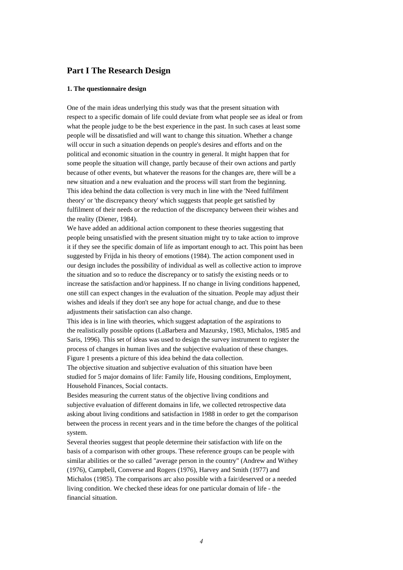# **Part I The Research Design**

#### **1. The questionnaire design**

One of the main ideas underlying this study was that the present situation with respect to a specific domain of life could deviate from what people see as ideal or from what the people judge to be the best experience in the past. In such cases at least some people will be dissatisfied and will want to change this situation. Whether a change will occur in such a situation depends on people's desires and efforts and on the political and economic situation in the country in general. It might happen that for some people the situation will change, partly because of their own actions and partly because of other events, but whatever the reasons for the changes are, there will be a new situation and a new evaluation and the process will start from the beginning. This idea behind the data collection is very much in line with the 'Need fulfilment theory' or 'the discrepancy theory' which suggests that people get satisfied by fulfilment of their needs or the reduction of the discrepancy between their wishes and the reality (Diener, 1984).

We have added an additional action component to these theories suggesting that people being unsatisfied with the present situation might try to take action to improve it if they see the specific domain of life as important enough to act. This point has been suggested by Frijda in his theory of emotions (1984). The action component used in our design includes the possibility of individual as well as collective action to improve the situation and so to reduce the discrepancy or to satisfy the existing needs or to increase the satisfaction and/or happiness. If no change in living conditions happened, one still can expect changes in the evaluation of the situation. People may adjust their wishes and ideals if they don't see any hope for actual change, and due to these adjustments their satisfaction can also change.

This idea is in line with theories, which suggest adaptation of the aspirations to the realistically possible options (LaBarbera and Mazursky, 1983, Michalos, 1985 and Saris, 1996). This set of ideas was used to design the survey instrument to register the process of changes in human lives and the subjective evaluation of these changes. Figure 1 presents a picture of this idea behind the data collection.

The objective situation and subjective evaluation of this situation have been studied for 5 major domains of life: Family life, Housing conditions, Employment, Household Finances, Social contacts.

Besides measuring the current status of the objective living conditions and subjective evaluation of different domains in life, we collected retrospective data asking about living conditions and satisfaction in 1988 in order to get the comparison between the process in recent years and in the time before the changes of the political system.

Several theories suggest that people determine their satisfaction with life on the basis of a comparison with other groups. These reference groups can be people with similar abilities or the so called "average person in the country" (Andrew and Withey (1976), Campbell, Converse and Rogers (1976), Harvey and Smith (1977) and Michalos (1985). The comparisons arc also possible with a fair/deserved or a needed living condition. We checked these ideas for one particular domain of life - the financial situation.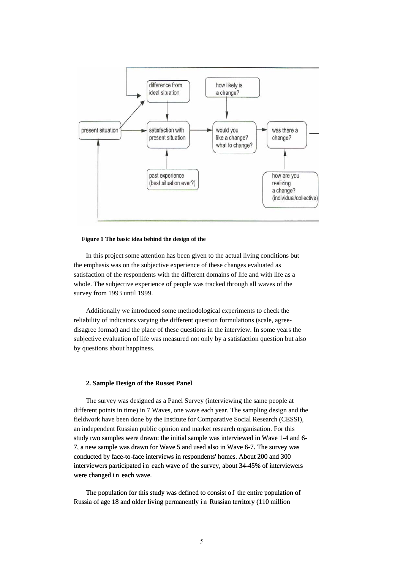

#### **Figure 1 The basic idea behind the design of the**

In this project some attention has been given to the actual living conditions but the emphasis was on the subjective experience of these changes evaluated as satisfaction of the respondents with the different domains of life and with life as a whole. The subjective experience of people was tracked through all waves of the survey from 1993 until 1999.

Additionally we introduced some methodological experiments to check the reliability of indicators varying the different question formulations (scale, agreedisagree format) and the place of these questions in the interview. In some years the subjective evaluation of life was measured not only by a satisfaction question but also by questions about happiness.

#### **2. Sample Design of the Russet Panel**

The survey was designed as a Panel Survey (interviewing the same people at different points in time) in 7 Waves, one wave each year. The sampling design and the fieldwork have been done by the Institute for Comparative Social Research (CESSI), an independent Russian public opinion and market research organisation. For this study two samples were drawn: the initial sample was interviewed in Wave 1-4 and 6- 7, a new sample was drawn for Wave 5 and used also in Wave 6-7. The survey was conducted by face-to-face interviews in respondents' homes. About 200 and 300 interviewers participated in each wave of the survey, about 34-45% of interviewers were changed in each wave.

The population for this study was defined to consist of the entire population of Russia of age 18 and older living permanently in Russian territory (110 million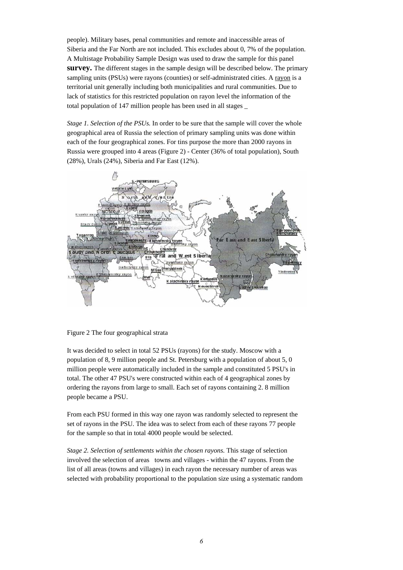people). Military bases, penal communities and remote and inaccessible areas of Siberia and the Far North are not included. This excludes about 0, 7% of the population. A Multistage Probability Sample Design was used to draw the sample for this panel **survey.** The different stages in the sample design will be described below. The primary sampling units (PSUs) were rayons (counties) or self-administrated cities. A rayon is a territorial unit generally including both municipalities and rural communities. Due to lack of statistics for this restricted population on rayon level the information of the total population of 147 million people has been used in all stages \_

*Stage 1. Selection of the PSUs.* In order to be sure that the sample will cover the whole geographical area of Russia the selection of primary sampling units was done within each of the four geographical zones. For tins purpose the more than 2000 rayons in Russia were grouped into 4 areas (Figure 2) - Center (36% of total population), South (28%), Urals (24%), Siberia and Far East (12%).



Figure 2 The four geographical strata

It was decided to select in total 52 PSUs (rayons) for the study. Moscow with a population of 8, 9 million people and St. Petersburg with a population of about 5, 0 million people were automatically included in the sample and constituted 5 PSU's in total. The other 47 PSU's were constructed within each of 4 geographical zones by ordering the rayons from large to small. Each set of rayons containing 2. 8 million people became a PSU.

From each PSU formed in this way one rayon was randomly selected to represent the set of rayons in the PSU. The idea was to select from each of these rayons 77 people for the sample so that in total 4000 people would be selected.

*Stage 2. Selection of settlements within the chosen rayons. This stage of selection* involved the selection of areas towns and villages - within the 47 rayons. From the list of all areas (towns and villages) in each rayon the necessary number of areas was selected with probability proportional to the population size using a systematic random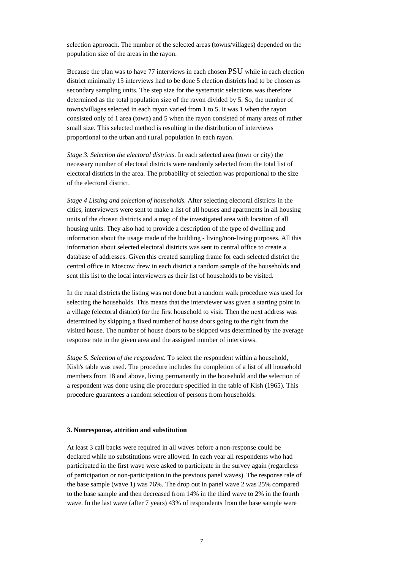selection approach. The number of the selected areas (towns/villages) depended on the population size of the areas in the rayon.

Because the plan was to have 77 interviews in each chosen PSU while in each election district minimally 15 interviews had to be done 5 election districts had to be chosen as secondary sampling units. The step size for the systematic selections was therefore determined as the total population size of the rayon divided by 5. So, the number of towns/villages selected in each rayon varied from 1 to 5. It was 1 when the rayon consisted only of 1 area (town) and 5 when the rayon consisted of many areas of rather small size. This selected method is resulting in the distribution of interviews proportional to the urban and rural population in each rayon.

*Stage 3. Selection the electoral districts.* In each selected area (town or city) the necessary number of electoral districts were randomly selected from the total list of electoral districts in the area. The probability of selection was proportional to the size of the electoral district.

*Stage 4 Listing and selection of households.* After selecting electoral districts in the cities, interviewers were sent to make a list of all houses and apartments in all housing units of the chosen districts and a map of the investigated area with location of all housing units. They also had to provide a description of the type of dwelling and information about the usage made of the building - living/non-living purposes. All this information about selected electoral districts was sent to central office to create a database of addresses. Given this created sampling frame for each selected district the central office in Moscow drew in each district a random sample of the households and sent this list to the local interviewers as their list of households to be visited.

In the rural districts the listing was not done but a random walk procedure was used for selecting the households. This means that the interviewer was given a starting point in a village (electoral district) for the first household to visit. Then the next address was determined by skipping a fixed number of house doors going to the right from the visited house. The number of house doors to be skipped was determined by the average response rate in the given area and the assigned number of interviews.

*Stage 5. Selection of the respondent.* To select the respondent within a household, Kish's table was used. The procedure includes the completion of a list of all household members from 18 and above, living permanently in the household and the selection of a respondent was done using die procedure specified in the table of Kish (1965). This procedure guarantees a random selection of persons from households.

#### **3. Nonresponse, attrition and substitution**

At least 3 call backs were required in all waves before a non-response could be declared while no substitutions were allowed. In each year all respondents who had participated in the first wave were asked to participate in the survey again (regardless of participation or non-participation in the previous panel waves). The response rale of the base sample (wave 1) was 76%. The drop out in panel wave 2 was 25% compared to the base sample and then decreased from 14% in the third wave to 2% in the fourth wave. In the last wave (after 7 years) 43% of respondents from the base sample were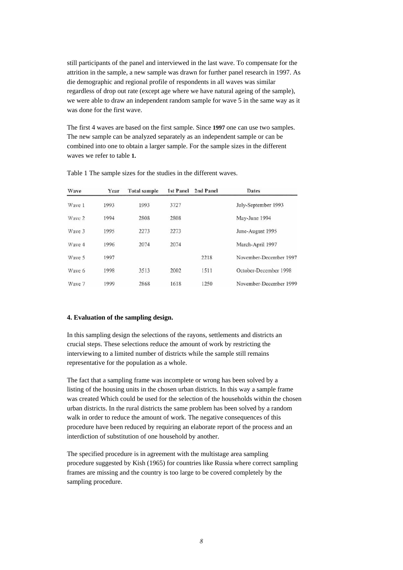still participants of the panel and interviewed in the last wave. To compensate for the attrition in the sample, a new sample was drawn for further panel research in 1997. As die demographic and regional profile of respondents in all waves was similar regardless of drop out rate (except age where we have natural ageing of the sample), we were able to draw an independent random sample for wave 5 in the same way as it was done for the first wave.

The first 4 waves are based on the first sample. Since **1997** one can use two samples. The new sample can be analyzed separately as an independent sample or can be combined into one to obtain a larger sample. For the sample sizes in the different waves we refer to table **1.** 

| Wave   | Year | <b>Total sample</b> | 1st Panel | 2nd Panel | <b>Dates</b><br>July-September 1993 |  |
|--------|------|---------------------|-----------|-----------|-------------------------------------|--|
| Wave 1 | 1993 | 1993                | 3727      |           |                                     |  |
| Wave 2 | 1994 | 2808                | 2808      |           | May-June 1994                       |  |
| Wave 3 | 1995 | 2273                | 2273      |           | June-August 1995                    |  |
| Wave 4 | 1996 | 2074                | 2074      |           | March-April 1997                    |  |
| Wave 5 | 1997 |                     |           | 2218      | November-December 1997              |  |
| Wave 6 | 1998 | 3513                | 2002      | 1511      | October-December 1998               |  |
| Wave 7 | 1999 | 2868                | 1618      | 1250      | November-December 1999              |  |

Table 1 The sample sizes for the studies in the different waves.

#### **4. Evaluation of the sampling design.**

In this sampling design the selections of the rayons, settlements and districts an crucial steps. These selections reduce the amount of work by restricting the interviewing to a limited number of districts while the sample still remains representative for the population as a whole.

The fact that a sampling frame was incomplete or wrong has been solved by a listing of the housing units in the chosen urban districts. In this way a sample frame was created Which could be used for the selection of the households within the chosen urban districts. In the rural districts the same problem has been solved by a random walk in order to reduce the amount of work. The negative consequences of this procedure have been reduced by requiring an elaborate report of the process and an interdiction of substitution of one household by another.

The specified procedure is in agreement with the multistage area sampling procedure suggested by Kish (1965) for countries like Russia where correct sampling frames are missing and the country is too large to be covered completely by the sampling procedure.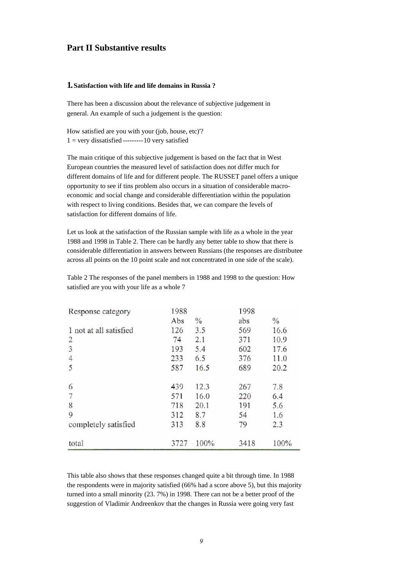# **Part II Substantive results**

## **1. Satisfaction with life and life domains in Russia ?**

There has been a discussion about the relevance of subjective judgement in general. An example of such a judgement is the question:

How satisfied are you with your (job, house, etc)'?  $1 =$  very dissatisfied --------10 very satisfied

The main critique of this subjective judgement is based on the fact that in West European countries the measured level of satisfaction does not differ much for different domains of life and for different people. The RUSSET panel offers a unique opportunity to see if tins problem also occurs in a situation of considerable macroeconomic and social change and considerable differentiation within the population with respect to living conditions. Besides that, we can compare the levels of satisfaction for different domains of life.

Let us look at the satisfaction of the Russian sample with life as a whole in the year 1988 and 1998 in Table 2. There can be hardly any better table to show that there is considerable differentiation in answers between Russians (the responses are distributee across all points on the 10 point scale and not concentrated in one side of the scale).

Table 2 The responses of the panel members in 1988 and 1998 to the question: How satisfied are you with your life as a whole 7

| Response category      | 1988 |               | 1998 |               |
|------------------------|------|---------------|------|---------------|
|                        | Abs  | $\frac{0}{0}$ | abs  | $\frac{0}{0}$ |
| 1 not at all satisfied | 126  | 3.5           | 569  | 16.6          |
| 2                      | 74   | 2.1           | 371  | 10.9          |
| 3                      | 193  | 5.4           | 602  | 17.6          |
| $\overline{4}$         | 233  | 6.5           | 376  | 11.0          |
| 5                      | 587  | 16.5          | 689  | 20.2          |
| 6                      | 439  | 12.3          | 267  | 7.8           |
| 7                      | 571  | 16.0          | 220  | 6.4           |
| 8                      | 718  | 20.1          | 191  | 5.6           |
| 9                      | 312  | 8.7           | 54   | 1.6           |
| completely satisfied   | 313  | 8.8           | 79   | 2.3           |
| total                  | 3727 | 100%          | 3418 | 100%          |

This table also shows that these responses changed quite a bit through time. In 1988 the respondents were in majority satisfied (66% had a score above 5), but this majority turned into a small minority (23. 7%) in 1998. There can not be a better proof of the suggestion of Vladimir Andreenkov that the changes in Russia were going very fast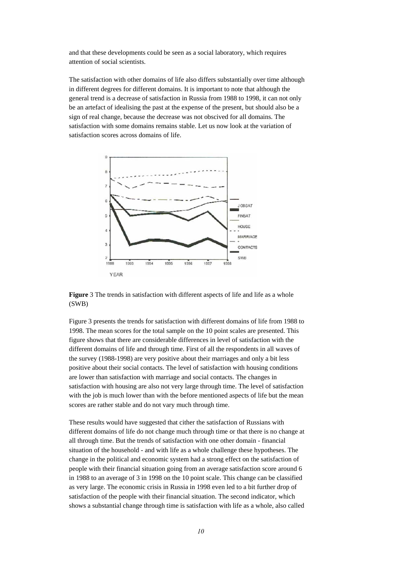and that these developments could be seen as a social laboratory, which requires attention of social scientists.

The satisfaction with other domains of life also differs substantially over time although in different degrees for different domains. It is important to note that although the general trend is a decrease of satisfaction in Russia from 1988 to 1998, it can not only be an artefact of idealising the past at the expense of the present, but should also be a sign of real change, because the decrease was not obscived for all domains. The satisfaction with some domains remains stable. Let us now look at the variation of satisfaction scores across domains of life.





Figure 3 presents the trends for satisfaction with different domains of life from 1988 to 1998. The mean scores for the total sample on the 10 point scales are presented. This figure shows that there are considerable differences in level of satisfaction with the different domains of life and through time. First of all the respondents in all waves of the survey (1988-1998) are very positive about their marriages and only a bit less positive about their social contacts. The level of satisfaction with housing conditions are lower than satisfaction with marriage and social contacts. The changes in satisfaction with housing are also not very large through time. The level of satisfaction with the job is much lower than with the before mentioned aspects of life but the mean scores are rather stable and do not vary much through time.

These results would have suggested that cither the satisfaction of Russians with different domains of life do not change much through time or that there is no change at all through time. But the trends of satisfaction with one other domain - financial situation of the household - and with life as a whole challenge these hypotheses. The change in the political and economic system had a strong effect on the satisfaction of people with their financial situation going from an average satisfaction score around 6 in 1988 to an average of 3 in 1998 on the 10 point scale. This change can be classified as very large. The economic crisis in Russia in 1998 even led to a bit further drop of satisfaction of the people with their financial situation. The second indicator, which shows a substantial change through time is satisfaction with life as a whole, also called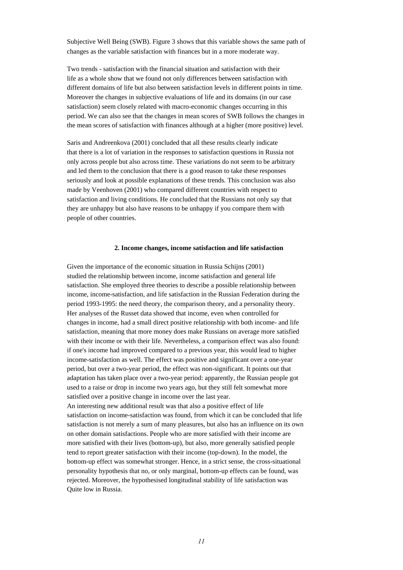Subjective Well Being (SWB). Figure 3 shows that this variable shows the same path of changes as the variable satisfaction with finances but in a more moderate way.

Two trends - satisfaction with the financial situation and satisfaction with their life as a whole show that we found not only differences between satisfaction with different domains of life but also between satisfaction levels in different points in time. Moreover the changes in subjective evaluations of life and its domains (in our case satisfaction) seem closely related with macro-economic changes occurring in this period. We can also see that the changes in mean scores of SWB follows the changes in the mean scores of satisfaction with finances although at a higher (more positive) level.

Saris and Andreenkova (2001) concluded that all these results clearly indicate that there is a lot of variation in the responses to satisfaction questions in Russia not only across people but also across time. These variations do not seem to be arbitrary and led them to the conclusion that there is a good reason to take these responses seriously and look at possible explanations of these trends. This conclusion was also made by Veenhoven (2001) who compared different countries with respect to satisfaction and living conditions. He concluded that the Russians not only say that they are unhappy but also have reasons to be unhappy if you compare them with people of other countries.

#### **2. Income changes, income satisfaction and life satisfaction**

Given the importance of the economic situation in Russia Schijns (2001) studied the relationship between income, income satisfaction and general life satisfaction. She employed three theories to describe a possible relationship between income, income-satisfaction, and life satisfaction in the Russian Federation during the period 1993-1995: the need theory, the comparison theory, and a personality theory. Her analyses of the Russet data showed that income, even when controlled for changes in income, had a small direct positive relationship with both income- and life satisfaction, meaning that more money does make Russians on average more satisfied with their income or with their life. Nevertheless, a comparison effect was also found: if one's income had improved compared to a previous year, this would lead to higher income-satisfaction as well. The effect was positive and significant over a one-year period, but over a two-year period, the effect was non-significant. It points out that adaptation has taken place over a two-year period: apparently, the Russian people got used to a raise or drop in income two years ago, but they still felt somewhat more satisfied over a positive change in income over the last year. An interesting new additional result was that also a positive effect of life satisfaction on income-satisfaction was found, from which it can be concluded that life satisfaction is not merely a sum of many pleasures, but also has an influence on its own on other domain satisfactions. People who are more satisfied with their income are more satisfied with their lives (bottom-up), but also, more generally satisfied people tend to report greater satisfaction with their income (top-down). In the model, the

bottom-up effect was somewhat stronger. Hence, in a strict sense, the cross-situational personality hypothesis that no, or only marginal, bottom-up effects can be found, was rejected. Moreover, the hypothesised longitudinal stability of life satisfaction was Quite low in Russia.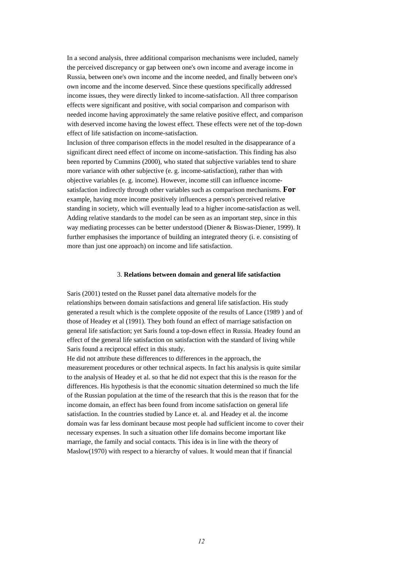In a second analysis, three additional comparison mechanisms were included, namely the perceived discrepancy or gap between one's own income and average income in Russia, between one's own income and the income needed, and finally between one's own income and the income deserved. Since these questions specifically addressed income issues, they were directly linked to income-satisfaction. All three comparison effects were significant and positive, with social comparison and comparison with needed income having approximately the same relative positive effect, and comparison with deserved income having the lowest effect. These effects were net of the top-down effect of life satisfaction on income-satisfaction.

Inclusion of three comparison effects in the model resulted in the disappearance of a significant direct need effect of income on income-satisfaction. This finding has also been reported by Cummins (2000), who stated that subjective variables tend to share more variance with other subjective (e. g. income-satisfaction), rather than with objective variables (e. g. income). However, income still can influence incomesatisfaction indirectly through other variables such as comparison mechanisms. **For**  example, having more income positively influences a person's perceived relative standing in society, which will eventually lead to a higher income-satisfaction as well. Adding relative standards to the model can be seen as an important step, since in this way mediating processes can be better understood (Diener & Biswas-Diener, 1999). It further emphasises the importance of building an integrated theory (i. e. consisting of more than just one approach) on income and life satisfaction.

### 3. **Relations between domain and general life satisfaction**

Saris (2001) tested on the Russet panel data alternative models for the relationships between domain satisfactions and general life satisfaction. His study generated a result which is the complete opposite of the results of Lance (1989 ) and of those of Headey et al (1991). They both found an effect of marriage satisfaction on general life satisfaction; yet Saris found a top-down effect in Russia. Headey found an effect of the general life satisfaction on satisfaction with the standard of living while Saris found a reciprocal effect in this study.

He did not attribute these differences to differences in the approach, the measurement procedures or other technical aspects. In fact his analysis is quite similar to the analysis of Headey et al. so that he did not expect that this is the reason for the differences. His hypothesis is that the economic situation determined so much the life of the Russian population at the time of the research that this is the reason that for the income domain, an effect has been found from income satisfaction on general life satisfaction. In the countries studied by Lance et. al. and Headey et al. the income domain was far less dominant because most people had sufficient income to cover their necessary expenses. In such a situation other life domains become important like marriage, the family and social contacts. This idea is in line with the theory of Maslow(1970) with respect to a hierarchy of values. It would mean that if financial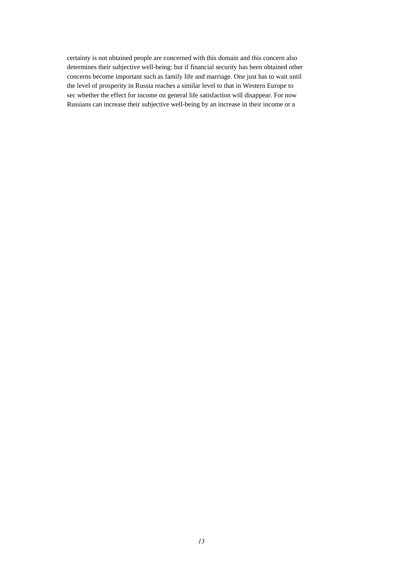certainty is not obtained people are concerned with this domain and this concern also determines their subjective well-being: but if financial security has been obtained other concerns become important such as family life and marriage. One just has to wait until the level of prosperity in Russia reaches a similar level to that in Western Europe to sec whether the effect for income on general life satisfaction will disappear. For now Russians can increase their subjective well-being by an increase in their income or a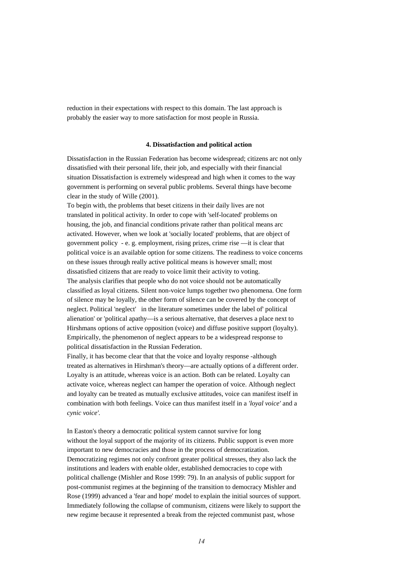reduction in their expectations with respect to this domain. The last approach is probably the easier way to more satisfaction for most people in Russia.

#### **4. Dissatisfaction and political action**

Dissatisfaction in the Russian Federation has become widespread; citizens arc not only dissatisfied with their personal life, their job, and especially with their financial situation Dissatisfaction is extremely widespread and high when it comes to the way government is performing on several public problems. Several things have become clear in the study of Wille (2001).

To begin with, the problems that beset citizens in their daily lives are not translated in political activity. In order to cope with 'self-located' problems on housing, the job, and financial conditions private rather than political means arc activated. However, when we look at 'socially located' problems, that are object of government policy - e. g. employment, rising prizes, crime rise —it is clear that political voice is an available option for some citizens. The readiness to voice concerns on these issues through really active political means is however small; most dissatisfied citizens that are ready to voice limit their activity to voting. The analysis clarifies that people who do not voice should not be automatically classified as loyal citizens. Silent non-voice lumps together two phenomena. One form of silence may be loyally, the other form of silence can be covered by the concept of neglect. Political 'neglect' in the literature sometimes under the label of' political alienation' or 'political apathy—is a serious alternative, that deserves a place next to Hirshmans options of active opposition (voice) and diffuse positive support (loyalty). Empirically, the phenomenon of neglect appears to be a widespread response to political dissatisfaction in the Russian Federation.

Finally, it has become clear that that the voice and loyalty response -although treated as alternatives in Hirshman's theory—are actually options of a different order. Loyalty is an attitude, whereas voice is an action. Both can be related. Loyalty can activate voice, whereas neglect can hamper the operation of voice. Although neglect and loyalty can be treated as mutually exclusive attitudes, voice can manifest itself in combination with both feelings. Voice can thus manifest itself in a *'loyal voice'* and a *cynic voice'.* 

In Easton's theory a democratic political system cannot survive for long without the loyal support of the majority of its citizens. Public support is even more important to new democracies and those in the process of democratization. Democratizing regimes not only confront greater political stresses, they also lack the institutions and leaders with enable older, established democracies to cope with political challenge (Mishler and Rose 1999: 79). In an analysis of public support for post-communist regimes at the beginning of the transition to democracy Mishler and Rose (1999) advanced a 'fear and hope' model to explain the initial sources of support. Immediately following the collapse of communism, citizens were likely to support the new regime because it represented a break from the rejected communist past, whose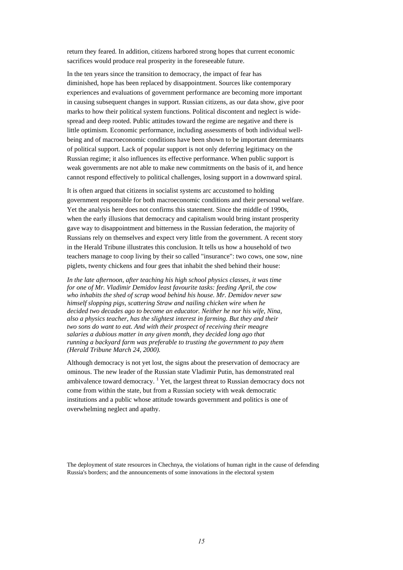return they feared. In addition, citizens harbored strong hopes that current economic sacrifices would produce real prosperity in the foreseeable future.

In the ten years since the transition to democracy, the impact of fear has diminished, hope has been replaced by disappointment. Sources like contemporary experiences and evaluations of government performance are becoming more important in causing subsequent changes in support. Russian citizens, as our data show, give poor marks to how their political system functions. Political discontent and neglect is widespread and deep rooted. Public attitudes toward the regime are negative and there is little optimism. Economic performance, including assessments of both individual wellbeing and of macroeconomic conditions have been shown to be important determinants of political support. Lack of popular support is not only deferring legitimacy on the Russian regime; it also influences its effective performance. When public support is weak governments are not able to make new commitments on the basis of it, and hence cannot respond effectively to political challenges, losing support in a downward spiral.

It is often argued that citizens in socialist systems arc accustomed to holding government responsible for both macroeconomic conditions and their personal welfare. Yet the analysis here does not confirms this statement. Since the middle of 1990s, when the early illusions that democracy and capitalism would bring instant prosperity gave way to disappointment and bitterness in the Russian federation, the majority of Russians rely on themselves and expect very little from the government. A recent story in the Herald Tribune illustrates this conclusion. It tells us how a household of two teachers manage to coop living by their so called "insurance": two cows, one sow, nine piglets, twenty chickens and four gees that inhabit the shed behind their house:

*In the late afternoon, after teaching his high school physics classes, it was time for one of Mr. Vladimir Demidov least favourite tasks: feeding April, the cow who inhabits the shed of scrap wood behind his house. Mr. Demidov never saw himself slopping pigs, scattering Straw and nailing chicken wire when he decided two decades ago to become an educator. Neither he nor his wife, Nina, also a physics teacher, has the slightest interest in farming. But they and their two sons do want to eat. And with their prospect of receiving their meagre salaries a dubious matter in any given month, they decided long ago that running a backyard farm was preferable to trusting the government to pay them (Herald Tribune March 24, 2000).* 

Although democracy is not yet lost, the signs about the preservation of democracy are ominous. The new leader of the Russian state Vladimir Putin, has demonstrated real ambivalence toward democracy.  $<sup>1</sup>$  Yet, the largest threat to Russian democracy docs not</sup> come from within the state, but from a Russian society with weak democratic institutions and a public whose attitude towards government and politics is one of overwhelming neglect and apathy.

The deployment of state resources in Chechnya, the violations of human right in the cause of defending Russia's borders; and the announcements of some innovations in the electoral system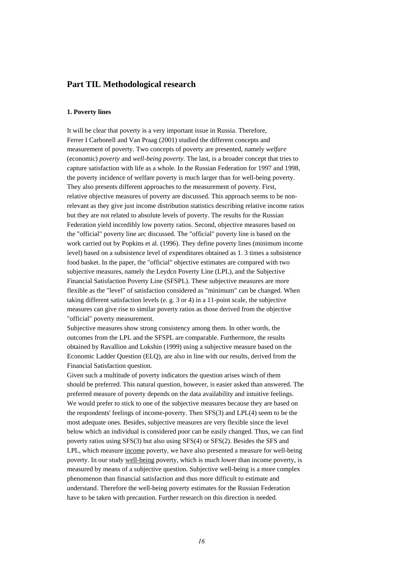# **Part TIL Methodological research**

#### **1. Poverty lines**

It will be clear that poverty is a very important issue in Russia. Therefore, Ferrer I Carbonell and Van Praag (2001) studied the different concepts and measurement of poverty. Two concepts of poverty are presented, namely *welfare*  (economic) *poverty* and *well-being poverty.* The last, is a broader concept that tries to capture satisfaction with life as a whole. In the Russian Federation for 1997 and 1998, the poverty incidence of welfare poverty is much larger than for well-being poverty. They also presents different approaches to the measurement of poverty. First, relative objective measures of poverty are discussed. This approach seems to be nonrelevant as they give just income distribution statistics describing relative income ratios but they are not related to absolute levels of poverty. The results for the Russian Federation yield incredibly low poverty ratios. Second, objective measures based on the "official" poverty line arc discussed. The "official" poverty line is based on the work carried out by Popkins et al. (1996). They define poverty lines (minimum income level) based on a subsistence level of expenditures obtained as 1. 3 times a subsistence food basket. In the paper, the "official" objective estimates are compared with two subjective measures, namely the Leydcn Poverty Line (LPL), and the Subjective Financial Satisfaction Poverty Line (SFSPL). These subjective measures are more flexible as the "level" of satisfaction considered as "minimum" can be changed. When taking different satisfaction levels (e. g. 3 or 4) in a 11-point scale, the subjective measures can give rise to similar poverty ratios as those derived from the objective "official" poverty measurement.

Subjective measures show strong consistency among them. In other words, the outcomes from the LPL and the SFSPL are comparable. Furthermore, the results obtained by Ravallion and Lokshin (1999) using a subjective measure based on the Economic Ladder Question (ELQ), are also in line with our results, derived from the Financial Satisfaction question.

Given such a multitude of poverty indicators the question arises winch of them should be preferred. This natural question, however, is easier asked than answered. The preferred measure of poverty depends on the data availability and intuitive feelings. We would prefer to stick to one of the subjective measures because they are based on the respondents' feelings of income-poverty. Then SFS(3) and LPL(4) seem to be the most adequate ones. Besides, subjective measures are very flexible since the level below which an individual is considered poor can be easily changed. Thus, we can find poverty ratios using SFS(3) but also using SFS(4) or SFS(2). Besides the SFS and LPL, which measure income poverty, we have also presented a measure for well-being poverty. In our study well-being poverty, which is much lower than income poverty, is measured by means of a subjective question. Subjective well-being is a more complex phenomenon than financial satisfaction and thus more difficult to estimate and understand. Therefore the well-being poverty estimates for the Russian Federation have to be taken with precaution. Further research on this direction is needed.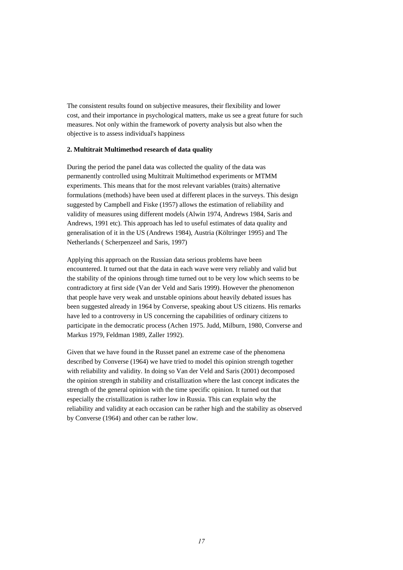The consistent results found on subjective measures, their flexibility and lower cost, and their importance in psychological matters, make us see a great future for such measures. Not only within the framework of poverty analysis but also when the objective is to assess individual's happiness

#### **2. Multitrait Multimethod research of data quality**

During the period the panel data was collected the quality of the data was permanently controlled using Multitrait Multimethod experiments or MTMM experiments. This means that for the most relevant variables (traits) alternative formulations (methods) have been used at different places in the surveys. This design suggested by Campbell and Fiske (1957) allows the estimation of reliability and validity of measures using different models (Alwin 1974, Andrews 1984, Saris and Andrews, 1991 etc). This approach has led to useful estimates of data quality and generalisation of it in the US (Andrews 1984), Austria (Költringer 1995) and The Netherlands ( Scherpenzeel and Saris, 1997)

Applying this approach on the Russian data serious problems have been encountered. It turned out that the data in each wave were very reliably and valid but the stability of the opinions through time turned out to be very low which seems to be contradictory at first side (Van der Veld and Saris 1999). However the phenomenon that people have very weak and unstable opinions about heavily debated issues has been suggested already in 1964 by Converse, speaking about US citizens. His remarks have led to a controversy in US concerning the capabilities of ordinary citizens to participate in the democratic process (Achen 1975. Judd, Milburn, 1980, Converse and Markus 1979, Feldman 1989, Zaller 1992).

Given that we have found in the Russet panel an extreme case of the phenomena described by Converse (1964) we have tried to model this opinion strength together with reliability and validity. In doing so Van der Veld and Saris (2001) decomposed the opinion strength in stability and cristallization where the last concept indicates the strength of the general opinion with the time specific opinion. It turned out that especially the cristallization is rather low in Russia. This can explain why the reliability and validity at each occasion can be rather high and the stability as observed by Converse (1964) and other can be rather low.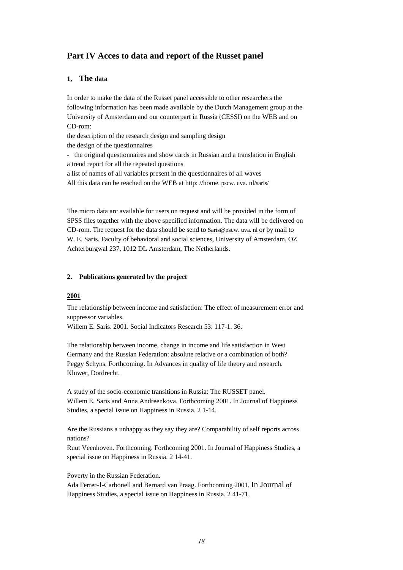# **Part IV Acces to data and report of the Russet panel**

# **1, The data**

In order to make the data of the Russet panel accessible to other researchers the following information has been made available by the Dutch Management group at the University of Amsterdam and our counterpart in Russia (CESSI) on the WEB and on CD-rom:

the description of the research design and sampling design

the design of the questionnaires

- the original questionnaires and show cards in Russian and a translation in English a trend report for all the repeated questions

a list of names of all variables present in the questionnaires of all waves

All this data can be reached on the WEB at [http:](http://home.pscw.uva.nl/saris/) [//home.](http://home.pscw.uva.nl/saris/) [pscw.](http://home.pscw.uva.nl/saris/) [uva.](http://home.pscw.uva.nl/saris/) [nl/saris/](http://home.pscw.uva.nl/saris/)

The micro data arc available for users on request and will be provided in the form of SPSS files together with the above specified information. The data will be delivered on CD-rom. The request for the data should be send to [Saris@pscw.](mailto:Sans@pscw.uva.nl) [uva.](mailto:Sans@pscw.uva.nl) [nl](mailto:Sans@pscw.uva.nl) or by mail to W. E. Saris. Faculty of behavioral and social sciences, University of Amsterdam, OZ Achterburgwal 237, 1012 DL Amsterdam, The Netherlands.

## **2. Publications generated by the project**

## **2001**

The relationship between income and satisfaction: The effect of measurement error and suppressor variables.

Willem E. Saris. 2001. Social Indicators Research 53: 117-1. 36.

The relationship between income, change in income and life satisfaction in West Germany and the Russian Federation: absolute relative or a combination of both? Peggy Schyns. Forthcoming. In Advances in quality of life theory and research. Kluwer, Dordrecht.

A study of the socio-economic transitions in Russia: The RUSSET panel. Willem E. Saris and Anna Andreenkova. Forthcoming 2001. In Journal of Happiness Studies, a special issue on Happiness in Russia. 2 1-14.

Are the Russians a unhappy as they say they are? Comparability of self reports across nations?

Ruut Veenhoven. Forthcoming. Forthcoming 2001. In Journal of Happiness Studies, a special issue on Happiness in Russia. 2 14-41.

Poverty in the Russian Federation.

Ada Ferrer-I-Carbonell and Bernard van Praag. Forthcoming 2001. In Journal of Happiness Studies, a special issue on Happiness in Russia. 2 41-71.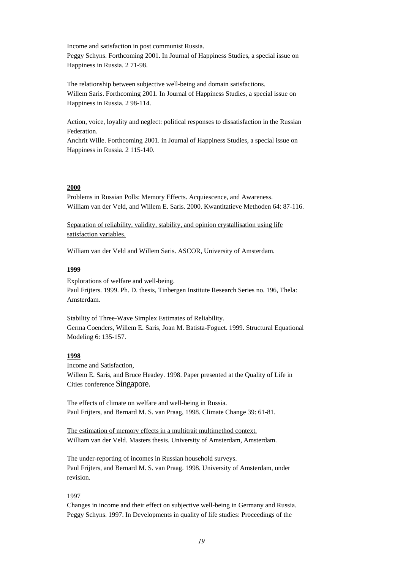Income and satisfaction in post communist Russia. Peggy Schyns. Forthcoming 2001. In Journal of Happiness Studies, a special issue on Happiness in Russia. 2 71-98.

The relationship between subjective well-being and domain satisfactions. Willem Saris. Forthcoming 2001. In Journal of Happiness Studies, a special issue on Happiness in Russia. 2 98-114.

Action, voice, loyality and neglect: political responses to dissatisfaction in the Russian Federation.

Anchrit Wille. Forthcoming 2001. in Journal of Happiness Studies, a special issue on Happiness in Russia. 2 115-140.

## **2000**

Problems in Russian Polls: Memory Effects. Acquiescence, and Awareness. William van der Veld, and Willem E. Saris. 2000. Kwantitatieve Methoden 64: 87-116.

Separation of reliability, validity, stability, and opinion crystallisation using life satisfaction variables.

William van der Veld and Willem Saris. ASCOR, University of Amsterdam.

#### **1999**

Explorations of welfare and well-being. Paul Frijters. 1999. Ph. D. thesis, Tinbergen Institute Research Series no. 196, Thela: Amsterdam.

Stability of Three-Wave Simplex Estimates of Reliability. Germa Coenders, Willem E. Saris, Joan M. Batista-Foguet. 1999. Structural Equational Modeling 6: 135-157.

# **1998**

Income and Satisfaction, Willem E. Saris, and Bruce Headey. 1998. Paper presented at the Quality of Life in Cities conference Singapore.

The effects of climate on welfare and well-being in Russia. Paul Frijters, and Bernard M. S. van Praag, 1998. Climate Change 39: 61-81.

The estimation of memory effects in a multitrait multimethod context. William van der Veld. Masters thesis. University of Amsterdam, Amsterdam.

The under-reporting of incomes in Russian household surveys. Paul Frijters, and Bernard M. S. van Praag. 1998. University of Amsterdam, under revision.

#### 1997

Changes in income and their effect on subjective well-being in Germany and Russia. Peggy Schyns. 1997. In Developments in quality of life studies: Proceedings of the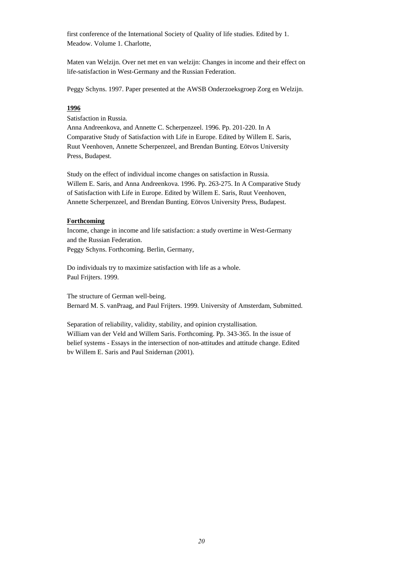first conference of the International Society of Quality of life studies. Edited by 1. Meadow. Volume 1. Charlotte,

Maten van Welzijn. Over net met en van welzijn: Changes in income and their effect on life-satisfaction in West-Germany and the Russian Federation.

Peggy Schyns. 1997. Paper presented at the AWSB Onderzoeksgroep Zorg en Welzijn.

## **1996**

Satisfaction in Russia.

Anna Andreenkova, and Annette C. Scherpenzeel. 1996. Pp. 201-220. In A Comparative Study of Satisfaction with Life in Europe. Edited by Willem E. Saris, Ruut Veenhoven, Annette Scherpenzeel, and Brendan Bunting. Eötvos University Press, Budapest.

Study on the effect of individual income changes on satisfaction in Russia. Willem E. Saris, and Anna Andreenkova. 1996. Pp. 263-275. In A Comparative Study of Satisfaction with Life in Europe. Edited by Willem E. Saris, Ruut Veenhoven, Annette Scherpenzeel, and Brendan Bunting. Eötvos University Press, Budapest.

## **Forthcoming**

Income, change in income and life satisfaction: a study overtime in West-Germany and the Russian Federation. Peggy Schyns. Forthcoming. Berlin, Germany,

Do individuals try to maximize satisfaction with life as a whole. Paul Frijters. 1999.

The structure of German well-being. Bernard M. S. vanPraag, and Paul Frijters. 1999. University of Amsterdam, Submitted.

Separation of reliability, validity, stability, and opinion crystallisation. William van der Veld and Willem Saris. Forthcoming. Pp. 343-365. In the issue of belief systems - Essays in the intersection of non-attitudes and attitude change. Edited bv Willem E. Saris and Paul Snidernan (2001).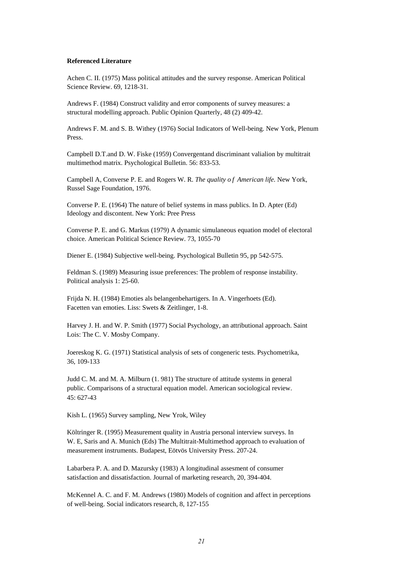#### **Referenced Literature**

Achen C. II. (1975) Mass political attitudes and the survey response. American Political Science Review. 69, 1218-31.

Andrews F. (1984) Construct validity and error components of survey measures: a structural modelling approach. Public Opinion Quarterly, 48 (2) 409-42.

Andrews F. M. and S. B. Withey (1976) Social Indicators of Well-being. New York, Plenum Press.

Campbell D.T.and D. W. Fiske (1959) Convergentand discriminant valialion by multitrait multimethod matrix. Psychological Bulletin. 56: 833-53.

Campbell A, Converse P. E. and Rogers W. R. *The quality o f American life.* New York, Russel Sage Foundation, 1976.

Converse P. E. (1964) The nature of belief systems in mass publics. In D. Apter (Ed) Ideology and discontent. New York: Pree Press

Converse P. E. and G. Markus (1979) A dynamic simulaneous equation model of electoral choice. American Political Science Review. 73, 1055-70

Diener E. (1984) Subjective well-being. Psychological Bulletin 95, pp 542-575.

Feldman S. (1989) Measuring issue preferences: The problem of response instability. Political analysis 1: 25-60.

Frijda N. H. (1984) Emoties als belangenbehartigers. In A. Vingerhoets (Ed). Facetten van emoties. Liss: Swets & Zeitlinger, 1-8.

Harvey J. H. and W. P. Smith (1977) Social Psychology, an attributional approach. Saint Lois: The C. V. Mosby Company.

Joereskog K. G. (1971) Statistical analysis of sets of congeneric tests. Psychometrika, 36, 109-133

Judd C. M. and M. A. Milburn (1. 981) The structure of attitude systems in general public. Comparisons of a structural equation model. American sociological review. 45: 627-43

Kish L. (1965) Survey sampling, New Yrok, Wiley

Költringer R. (1995) Measurement quality in Austria personal interview surveys. In W. E, Saris and A. Munich (Eds) The Multitrait-Multimethod approach to evaluation of measurement instruments. Budapest, Eötvös University Press. 207-24.

Labarbera P. A. and D. Mazursky (1983) A longitudinal assesment of consumer satisfaction and dissatisfaction. Journal of marketing research, 20, 394-404.

McKennel A. C. and F. M. Andrews (1980) Models of cognition and affect in perceptions of well-being. Social indicators research, 8, 127-155